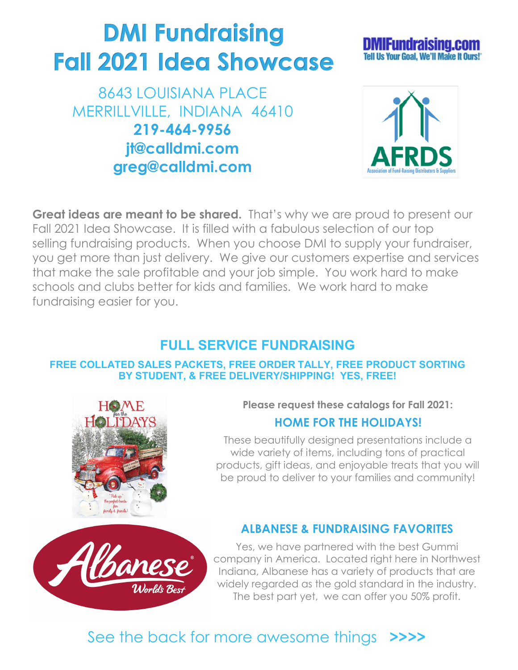# **DMI Fundraising Fall 2021 Idea Showcase**

8643 LOUISIANA PLACE MERRILLVILLE, INDIANA 46410 **219-464-9956 jt@calldmi.com greg@calldmi.com**



Tell Us Your Goal. We'll Make It Ours!

**Great ideas are meant to be shared.** That's why we are proud to present our Fall 2021 Idea Showcase. It is filled with a fabulous selection of our top selling fundraising products. When you choose DMI to supply your fundraiser, you get more than just delivery. We give our customers expertise and services that make the sale profitable and your job simple. You work hard to make schools and clubs better for kids and families. We work hard to make fundraising easier for you.

## **FULL SERVICE FUNDRAISING**

#### **FREE COLLATED SALES PACKETS, FREE ORDER TALLY, FREE PRODUCT SORTING BY STUDENT, & FREE DELIVERY/SHIPPING! YES, FREE!**



**Please request these catalogs for Fall 2021:** 

#### **HOME FOR THE HOLIDAYS!**

These beautifully designed presentations include a wide variety of items, including tons of practical products, gift ideas, and enjoyable treats that you will be proud to deliver to your families and community!



#### **ALBANESE & FUNDRAISING FAVORITES**

Yes, we have partnered with the best Gummi company in America. Located right here in Northwest Indiana, Albanese has a variety of products that are widely regarded as the gold standard in the industry. The best part yet, we can offer you 50% profit.

## See the back for more awesome things **>>>>**